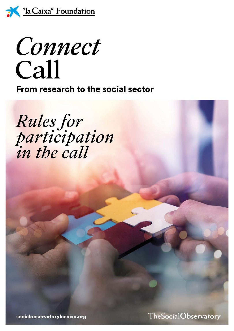

Connect Call

From research to the social sector

Rules for<br>participation<br>in the call

socialobservatorylacaixa.org

TheSocialObservatory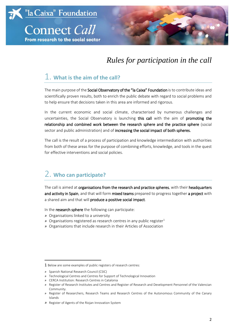



# *Rules for participation in the call*

# 1. **What is the aim of the call?**

The main purpose of the Social Observatory of the "la Caixa" Foundation is to contribute ideas and scientifically proven results, both to enrich the public debate with regard to social problems and to help ensure that decisions taken in this area are informed and rigorous.

In the current economic and social climate, characterised by numerous challenges and uncertainties, the Social Observatory is launching this call with the aim of promoting the relationship and combined work between the research sphere and the practice sphere (social sector and public administration) and of increasing the social impact of both spheres.

The call is the result of a process of participation and knowledge intermediation with authorities from both of these areas for the purpose of combining efforts, knowledge, and tools in the quest for effective interventions and social policies.

# 2. **Who can participate?**

The call is aimed at organisations from the research and practice spheres, with their headquarters and activity in Spain, and that will form mixed teams prepared to progress together a project with a shared aim and that will produce a positive social impact.

In the research sphere the following can participate:

- *»* Organisations linked to a university
- *»* Organisations registered as research centres in any public register<sup>1</sup>
- *»* Organisations that include research in their Articles of Association

 $\overline{a}$ 

*»* CERCA Institution: Research Centres in Catalonia

<sup>1</sup> Below are some examples of public registers of research centres:

*<sup>»</sup>* Spanish National Research Council (CSIC)

*<sup>»</sup>* Technological Centres and Centres for Support of Technological Innovation

*<sup>»</sup>* Register of Research Institutes and Centres and Register of Research and Development Personnel of the Valencian Community.

*<sup>»</sup>* Register of Researchers, Research Teams and Research Centres of the Autonomous Community of the Canary Islands

*<sup>»</sup>* Register of Agents of the Riojan Innovation System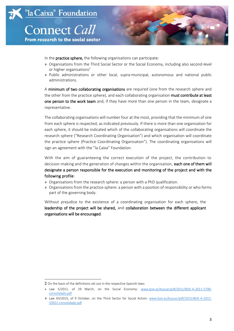



- In the **practice sphere,** the following organisations can participate:
- *»* Organisations from the Third Social Sector or the Social Economy, including also second-level or higher organisations<sup>2</sup>
- *»* Public administrations or other local, supra-municipal, autonomous and national public administrations.

A minimum of two collaborating organisations are required (one from the research sphere and the other from the practice sphere), and each collaborating organisation must contribute at least one person to the work team and, if they have more than one person in the team, designate a representative.

The collaborating organisations will number four at the most, providing that the minimum of one from each sphere is respected, as indicated previously. If there is more than one organisation for each sphere, it should be indicated which of the collaborating organisations will coordinate the research sphere ("Research Coordinating Organisation") and which organisation will coordinate the practice sphere (Practice Coordinating Organisation"). The coordinating organisations will sign an agreement with the "la Caixa" Foundation.

With the aim of guaranteeing the correct execution of the project, the contribution to decision-making and the generation of changes within the organisation, each one of them will designate a person responsible for the execution and monitoring of the project and with the following profile:

- *»* Organisations from the research sphere: a person with a PhD qualification.
- *»* Organisations from the practice sphere: a person with a position of responsibility or who forms part of the governing body.

Without prejudice to the existence of a coordinating organisation for each sphere, the leadership of the project will be shared, and collaboration between the different applicant organisations will be encouraged.

 $\overline{\phantom{a}}$ 

<sup>2</sup> On the basis of the definitions set out in the respective Spanish laws:

*<sup>»</sup>* Law 5/2011, of 29 March, on the Social Economy: [www.b](http://www.boe.es/buscar/pdf/2011/BOE-A-2011-5708-consolidado.pdf)oe.es/buscar/pdf/2011/BOE-A-2011-5708 consolidado.pdf

*<sup>»</sup>* Law 43/2015, of 9 October, on the Third Sector for Social Action: [www.boe.es/buscar/pdf/2015/BOE-A-2015-](http://www.boe.es/buscar/pdf/2015/BOE-A-2015-10922-consolidado.pdf) [10922-consolidado.pdf](http://www.boe.es/buscar/pdf/2015/BOE-A-2015-10922-consolidado.pdf)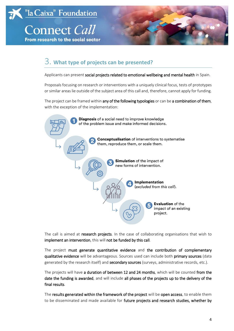



# 3. **What type of projects can be presented?**

Applicants can present social projects related to emotional wellbeing and mental health in Spain.

Proposals focusing on research or interventions with a uniquely clinical focus, tests of prototypes or similar areas lie outside of the subject area of this call and, therefore, cannot apply for funding.

The project can be framed within any of the following typologies or can be a combination of them, with the exception of the implementation:



The call is aimed at research projects. In the case of collaborating organisations that wish to implement an intervention, this will not be funded by this call.

The project must generate quantitative evidence and the contribution of complementary qualitative evidence will be advantageous. Sources used can include both primary sources (data generated by the research itself) and secondary sources (surveys, administrative records, etc.).

The projects will have a duration of between 12 and 24 months, which will be counted from the date the funding is awarded, and will include all phases of the projects up to the delivery of the final results.

The results generated within the framework of the project will be open access, to enable them to be disseminated and made available for future projects and research studies, whether by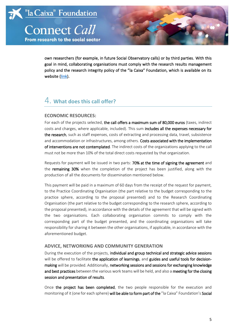From research to the social sector



own researchers (for example, in future Social Observatory calls) or by third parties. With this goal in mind, collaborating organisations must comply with the research results management policy and the research integrity policy of the "la Caixa" Foundation, which is available on its website [\(link\)](https://fundacionlacaixa.org/en/caixaresearch-management-policy-open-access-research-results).

## 4. **What does this call offer?**

### **ECONOMIC RESOURCES:**

For each of the projects selected, the call offers a maximum sum of 80,000 euros (taxes, indirect costs and charges, where applicable, included). This sum includes all the expenses necessary for the research, such as staff expenses, costs of extracting and processing data, travel, subsistence and accommodation or infrastructures, among others. Costs associated with the implementation of interventions are not contemplated. The indirect costs of the organizations applying to the call must not be more than 10% of the total direct costs requested by that organization.

Requests for payment will be issued in two parts: 70% at the time of signing the agreement and the remaining 30% when the completion of the project has been justified, along with the production of all the documents for dissemination mentioned below.

This payment will be paid in a maximum of 60 days from the receipt of the request for payment, to the Practice Coordinating Organisation (the part relative to the budget corresponding to the practice sphere, according to the proposal presented) and to the Research Coordinating Organisation (the part relative to the budget corresponding to the research sphere, according to the proposal presented), in accordance with the details of the agreement that will be signed with the two organisations. Each collaborating organisation commits to comply with the corresponding part of the budget presented, and the coordinating organisations will take responsibility for sharing it between the other organisations, if applicable, in accordance with the aforementioned budget.

### **ADVICE, NETWORKING AND COMMUNITY GENERATION**

During the execution of the projects, individual and group technical and strategic advice sessions will be offered to facilitate the application of learnings, and guides and useful tools for decisionmaking will be provided. Additionally, networking sessions and sessions for exchanging knowledge and best practices between the various work teams will be held, and also a meeting for the closing session and presentation of results.

Once the project has been completed, the two people responsible for the execution and monitoring of it (one for each sphere) will be able to form part of the "la Caixa" Foundation's Social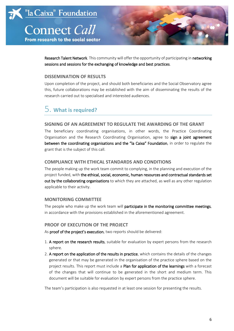From research to the social sector



Research Talent Network. This community will offer the opportunity of participating in networking sessions and sessions for the exchanging of knowledge and best practices.

### **DISSEMINATION OF RESULTS**

Upon completion of the project, and should both beneficiaries and the Social Observatory agree this, future collaborations may be established with the aim of disseminating the results of the research carried out to specialised and interested audiences.

# 5. **What is required?**

### **SIGNING OF AN AGREEMENT TO REGULATE THE AWARDING OF THE GRANT**

The beneficiary coordinating organisations, in other words, the Practice Coordinating Organisation and the Research Coordinating Organisation, agree to sign a joint agreement between the coordinating organisations and the "la Caixa" Foundation, in order to regulate the grant that is the subject of this call.

### **COMPLIANCE WITH ETHICAL STANDARDS AND CONDITIONS**

The people making up the work team commit to complying, in the planning and execution of the project funded, with the ethical, social, economic, human resources and contractual standards set out by the collaborating organisations to which they are attached, as well as any other regulation applicable to their activity.

### **MONITORING COMMITTEE**

The people who make up the work team will participate in the monitoring committee meetings, in accordance with the provisions established in the aforementioned agreement.

#### **PROOF OF EXECUTION OF THE PROJECT**

As proof of the project's execution, two reports should be delivered:

- 1. A report on the research results, suitable for evaluation by expert persons from the research sphere.
- 2. A report on the application of the results in practice, which contains the details of the changes generated or that may be generated in the organisation of the practice sphere based on the project results. This report must include a Plan for application of the learnings with a forecast of the changes that will continue to be generated in the short and medium term. This document will be suitable for evaluation by expert persons from the practice sphere.

The team's participation is also requested in at least one session for presenting the results.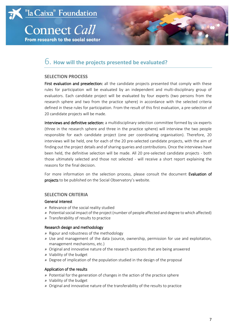



### 6. **How will the projects presented be evaluated?**

#### **SELECTION PROCESS**

First evaluation and preselection: all the candidate projects presented that comply with these rules for participation will be evaluated by an independent and multi-disciplinary group of evaluators. Each candidate project will be evaluated by four experts (two persons from the research sphere and two from the practice sphere) in accordance with the selected criteria defined in these rules for participation. From the result of this first evaluation, a pre-selection of 20 candidate projects will be made.

Interviews and definitive selection: a multidisciplinary selection committee formed by six experts (three in the research sphere and three in the practice sphere) will interview the two people responsible for each candidate project (one per coordinating organisation). Therefore, 20 interviews will be held, one for each of the 20 pre-selected candidate projects, with the aim of finding out the project details and of sharing queries and contributions. Once the interviews have been held, the definitive selection will be made. All 20 pre-selected candidate projects - both those ultimately selected and those not selected - will receive a short report explaining the reasons for the final decision.

For more information on the selection process, please consult the document Evaluation of projects to be published on the Social Observatory's website.

#### **SELECTION CRITERIA**

#### General interest

- *»* Relevance of the social reality studied
- *»* Potential social impact of the project (number of people affected and degree to which affected)
- *»* Transferability of results to practice

#### Research design and methodology

- *»* Rigour and robustness of the methodology
- *»* Use and management of the data (source, ownership, permission for use and exploitation, management mechanisms, etc.)
- *»* Original and innovative nature of the research questions that are being answered
- *»* Viability of the budget
- *»* Degree of implication of the population studied in the design of the proposal

#### Application of the results

- *»* Potential for the generation of changes in the action of the practice sphere
- *»* Viability of the budget
- *»* Original and innovative nature of the transferability of the results to practice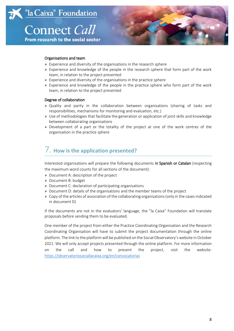



#### Organisations and team

- *»* Experience and diversity of the organisations in the research sphere
- *»* Experience and knowledge of the people in the research sphere that form part of the work team, in relation to the project presented
- *»* Experience and diversity of the organisations in the practice sphere
- *»* Experience and knowledge of the people in the practice sphere who form part of the work team, in relation to the project presented

#### Degree of collaboration

- *»* Quality and parity in the collaboration between organisations (sharing of tasks and responsibilities, mechanisms for monitoring and evaluation, etc.)
- *»* Use of methodologies that facilitate the generation or application of joint skills and knowledge between collaborating organisations
- *»* Development of a part or the totality of the project at one of the work centres of the organisation in the practice sphere

# 7. **How is the application presented?**

Interested organisations will prepare the following documents in Spanish or Catalan (respecting the maximum word counts for all sections of the document):

- *»* Document A: description of the project
- *»* Document B: budget
- *»* Document C: declaration of participating organisations
- *»* Document D: details of the organisations and the member teams of the project
- *»* Copy of the articles of association of the collaborating organisations (only in the cases indicated in document D)

If the documents are not in the evaluators' language, the "la Caixa" Foundation will translate proposals before sending them to be evaluated.

One member of the project from either the Practice Coordinating Organisation and the Research Coordinating Organisation will have to submit the project documentation through the online platform. The link to the platform will be published on the Social Observatory's website in October 2021. We will only accept projects presented through the online platform. For more information on the call and how to present the project, visit the website: <https://observatoriosociallacaixa.org/en/convocatorias>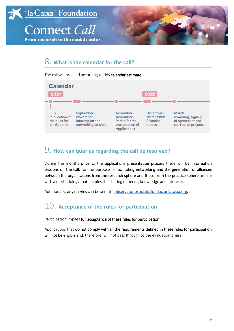

## 8. **What is the calendar for the call?**

The call will proceed according to this calendar estimate:



## 9. **How can queries regarding the call be resolved?**

During the months prior to the applications presentation process there will be information sessions on the call, for the purpose of facilitating networking and the generation of alliances between the organisations from the research sphere and those from the practice sphere, in line with a methodology that enables the sharing of needs, knowledge and interests.

Additionally, any queries can be sent to: [observatoriosocial@fundacionlacaixa.org.](mailto:observatoriosocial@fundacionlacaixa.org)

# 10. **Acceptance of the rules for participation**

Participation implies full acceptance of these rules for participation.

Applications that do not comply with all the requirements defined in these rules for participation will not be eligible and, therefore, will not pass through to the evaluation phase.